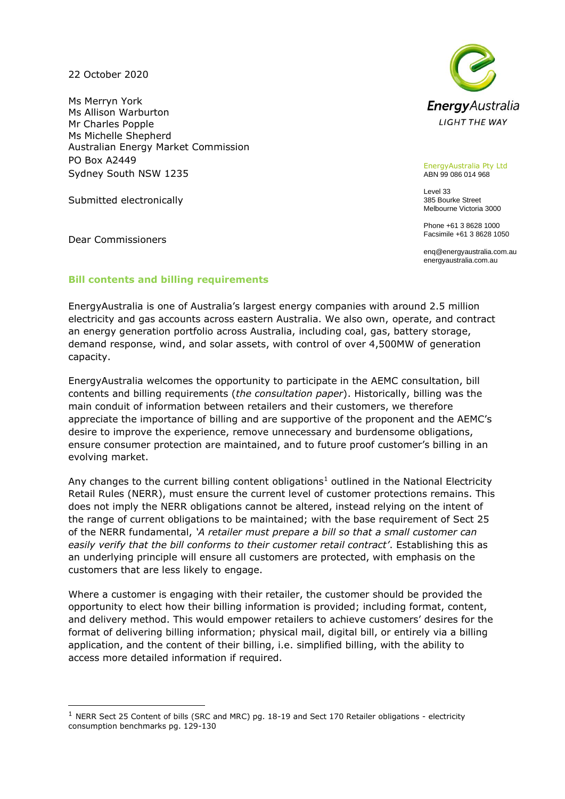22 October 2020

Ms Merryn York Ms Allison Warburton Mr Charles Popple Ms Michelle Shepherd Australian Energy Market Commission PO Box A2449 Sydney South NSW 1235

Submitted electronically

Dear Commissioners



EnergyAustralia Pty Ltd ABN 99 086 014 968

Level 33 385 Bourke Street Melbourne Victoria 3000

Phone +61 3 8628 1000 Facsimile +61 3 8628 1050

enq@energyaustralia.com.au energyaustralia.com.au

# **Bill contents and billing requirements**

EnergyAustralia is one of Australia's largest energy companies with around 2.5 million electricity and gas accounts across eastern Australia. We also own, operate, and contract an energy generation portfolio across Australia, including coal, gas, battery storage, demand response, wind, and solar assets, with control of over 4,500MW of generation capacity.

EnergyAustralia welcomes the opportunity to participate in the AEMC consultation, bill contents and billing requirements (*the consultation paper*). Historically, billing was the main conduit of information between retailers and their customers, we therefore appreciate the importance of billing and are supportive of the proponent and the AEMC's desire to improve the experience, remove unnecessary and burdensome obligations, ensure consumer protection are maintained, and to future proof customer's billing in an evolving market.

Any changes to the current billing content obligations<sup>1</sup> outlined in the National Electricity Retail Rules (NERR), must ensure the current level of customer protections remains. This does not imply the NERR obligations cannot be altered, instead relying on the intent of the range of current obligations to be maintained; with the base requirement of Sect 25 of the NERR fundamental, *'A retailer must prepare a bill so that a small customer can easily verify that the bill conforms to their customer retail contract'*. Establishing this as an underlying principle will ensure all customers are protected, with emphasis on the customers that are less likely to engage.

Where a customer is engaging with their retailer, the customer should be provided the opportunity to elect how their billing information is provided; including format, content, and delivery method. This would empower retailers to achieve customers' desires for the format of delivering billing information; physical mail, digital bill, or entirely via a billing application, and the content of their billing, i.e. simplified billing, with the ability to access more detailed information if required.

 $1$  [NERR Sect 25 Content of bills \(SRC and MRC\) pg. 18-19 and Sect 170 Retailer obligations -](https://www.aemc.gov.au/sites/default/files/2020-08/NERR%20v24%20full.pdf) electricity [consumption benchmarks pg. 129-130](https://www.aemc.gov.au/sites/default/files/2020-08/NERR%20v24%20full.pdf)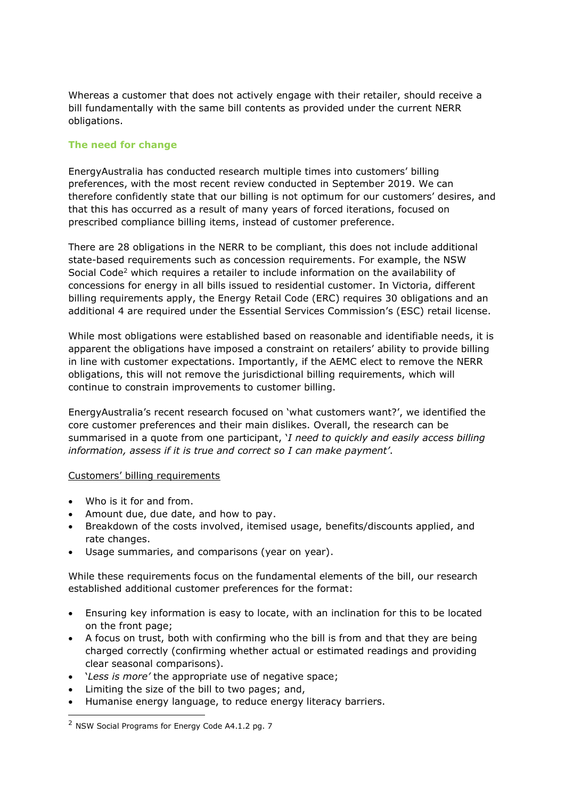Whereas a customer that does not actively engage with their retailer, should receive a bill fundamentally with the same bill contents as provided under the current NERR obligations.

# **The need for change**

EnergyAustralia has conducted research multiple times into customers' billing preferences, with the most recent review conducted in September 2019. We can therefore confidently state that our billing is not optimum for our customers' desires, and that this has occurred as a result of many years of forced iterations, focused on prescribed compliance billing items, instead of customer preference.

There are 28 obligations in the NERR to be compliant, this does not include additional state-based requirements such as concession requirements. For example, the NSW Social Code<sup>2</sup> which requires a retailer to include information on the availability of concessions for energy in all bills issued to residential customer. In Victoria, different billing requirements apply, the Energy Retail Code (ERC) requires 30 obligations and an additional 4 are required under the Essential Services Commission's (ESC) retail license.

While most obligations were established based on reasonable and identifiable needs, it is apparent the obligations have imposed a constraint on retailers' ability to provide billing in line with customer expectations. Importantly, if the AEMC elect to remove the NERR obligations, this will not remove the jurisdictional billing requirements, which will continue to constrain improvements to customer billing.

EnergyAustralia's recent research focused on 'what customers want?', we identified the core customer preferences and their main dislikes. Overall, the research can be summarised in a quote from one participant, '*I need to quickly and easily access billing information, assess if it is true and correct so I can make payment'*.

### Customers' billing requirements

- Who is it for and from.
- Amount due, due date, and how to pay.
- Breakdown of the costs involved, itemised usage, benefits/discounts applied, and rate changes.
- Usage summaries, and comparisons (year on year).

While these requirements focus on the fundamental elements of the bill, our research established additional customer preferences for the format:

- Ensuring key information is easy to locate, with an inclination for this to be located on the front page;
- A focus on trust, both with confirming who the bill is from and that they are being charged correctly (confirming whether actual or estimated readings and providing clear seasonal comparisons).
- '*Less is more'* the appropriate use of negative space;
- Limiting the size of the bill to two pages; and,
- Humanise energy language, to reduce energy literacy barriers.

<sup>2</sup> [NSW Social Programs for Energy Code A4.1.2 pg. 7](https://energy.nsw.gov.au/media/1841/download)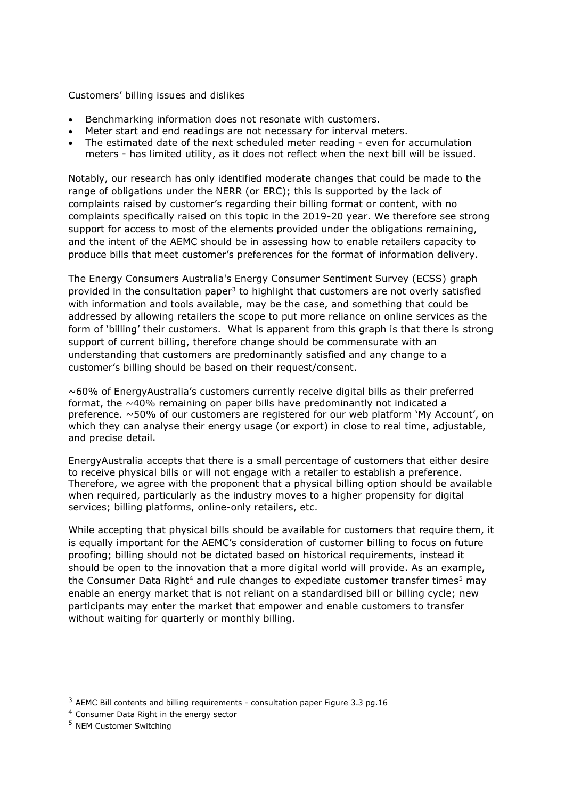### Customers' billing issues and dislikes

- Benchmarking information does not resonate with customers.
- Meter start and end readings are not necessary for interval meters.
- The estimated date of the next scheduled meter reading even for accumulation meters - has limited utility, as it does not reflect when the next bill will be issued.

Notably, our research has only identified moderate changes that could be made to the range of obligations under the NERR (or ERC); this is supported by the lack of complaints raised by customer's regarding their billing format or content, with no complaints specifically raised on this topic in the 2019-20 year. We therefore see strong support for access to most of the elements provided under the obligations remaining, and the intent of the AEMC should be in assessing how to enable retailers capacity to produce bills that meet customer's preferences for the format of information delivery.

The Energy Consumers Australia's Energy Consumer Sentiment Survey (ECSS) graph provided in the consultation paper<sup>3</sup> to highlight that customers are not overly satisfied with information and tools available, may be the case, and something that could be addressed by allowing retailers the scope to put more reliance on online services as the form of 'billing' their customers. What is apparent from this graph is that there is strong support of current billing, therefore change should be commensurate with an understanding that customers are predominantly satisfied and any change to a customer's billing should be based on their request/consent.

 $\sim$ 60% of EnergyAustralia's customers currently receive digital bills as their preferred format, the ~40% remaining on paper bills have predominantly not indicated a preference. ~50% of our customers are registered for our web platform 'My Account', on which they can analyse their energy usage (or export) in close to real time, adjustable, and precise detail.

EnergyAustralia accepts that there is a small percentage of customers that either desire to receive physical bills or will not engage with a retailer to establish a preference. Therefore, we agree with the proponent that a physical billing option should be available when required, particularly as the industry moves to a higher propensity for digital services; billing platforms, online-only retailers, etc.

While accepting that physical bills should be available for customers that require them, it is equally important for the AEMC's consideration of customer billing to focus on future proofing; billing should not be dictated based on historical requirements, instead it should be open to the innovation that a more digital world will provide. As an example, the Consumer Data Right<sup>4</sup> and rule changes to expediate customer transfer times<sup>5</sup> may enable an energy market that is not reliant on a standardised bill or billing cycle; new participants may enter the market that empower and enable customers to transfer without waiting for quarterly or monthly billing.

<sup>3</sup> [AEMC Bill contents and billing requirements -](https://www.aemc.gov.au/sites/default/files/documents/rrc0036_-_bill_contents_and_billing_requirements_-_consultation_paper_fv.pdf) consultation paper Figure 3.3 pg.16

<sup>4</sup> [Consumer Data Right in the energy sector](https://www.accc.gov.au/focus-areas/consumer-data-right-cdr/cdr-in-the-energy-sector)

<sup>5</sup> [NEM Customer Switching](https://aemo.com.au/en/consultations/current-and-closed-consultations/nem-customer-switching)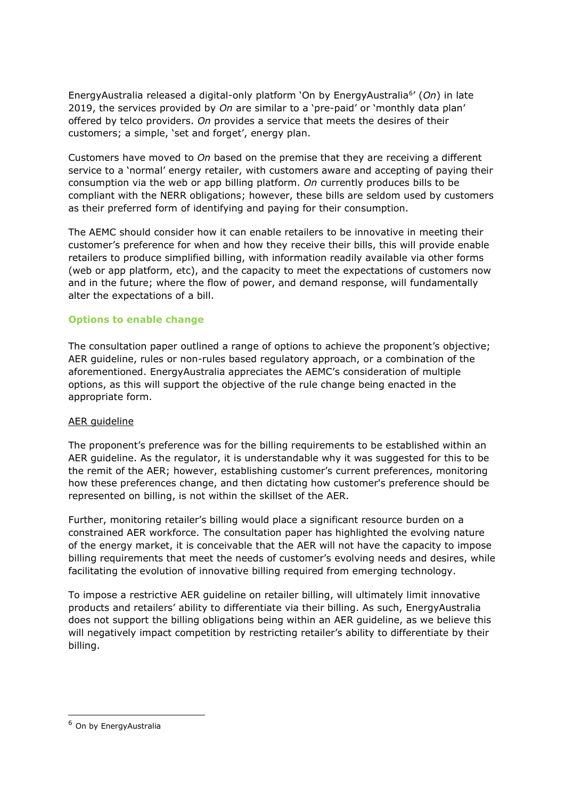EnergyAustralia released a digital-only platform 'On by EnergyAustralia<sup>6</sup> ' (*On*) in late 2019, the services provided by *On* are similar to a 'pre-paid' or 'monthly data plan' offered by telco providers. *On* provides a service that meets the desires of their customers; a simple, 'set and forget', energy plan.

Customers have moved to *On* based on the premise that they are receiving a different service to a 'normal' energy retailer, with customers aware and accepting of paying their consumption via the web or app billing platform. *On* currently produces bills to be compliant with the NERR obligations; however, these bills are seldom used by customers as their preferred form of identifying and paying for their consumption.

The AEMC should consider how it can enable retailers to be innovative in meeting their customer's preference for when and how they receive their bills, this will provide enable retailers to produce simplified billing, with information readily available via other forms (web or app platform, etc), and the capacity to meet the expectations of customers now and in the future; where the flow of power, and demand response, will fundamentally alter the expectations of a bill.

# **Options to enable change**

The consultation paper outlined a range of options to achieve the proponent's objective; AER guideline, rules or non-rules based regulatory approach, or a combination of the aforementioned. EnergyAustralia appreciates the AEMC's consideration of multiple options, as this will support the objective of the rule change being enacted in the appropriate form.

### AER guideline

The proponent's preference was for the billing requirements to be established within an AER guideline. As the regulator, it is understandable why it was suggested for this to be the remit of the AER; however, establishing customer's current preferences, monitoring how these preferences change, and then dictating how customer's preference should be represented on billing, is not within the skillset of the AER.

Further, monitoring retailer's billing would place a significant resource burden on a constrained AER workforce. The consultation paper has highlighted the evolving nature of the energy market, it is conceivable that the AER will not have the capacity to impose billing requirements that meet the needs of customer's evolving needs and desires, while facilitating the evolution of innovative billing required from emerging technology.

To impose a restrictive AER guideline on retailer billing, will ultimately limit innovative products and retailers' ability to differentiate via their billing. As such, EnergyAustralia does not support the billing obligations being within an AER guideline, as we believe this will negatively impact competition by restricting retailer's ability to differentiate by their billing.

<sup>6</sup> [On by EnergyAustralia](https://experienceon.com.au/)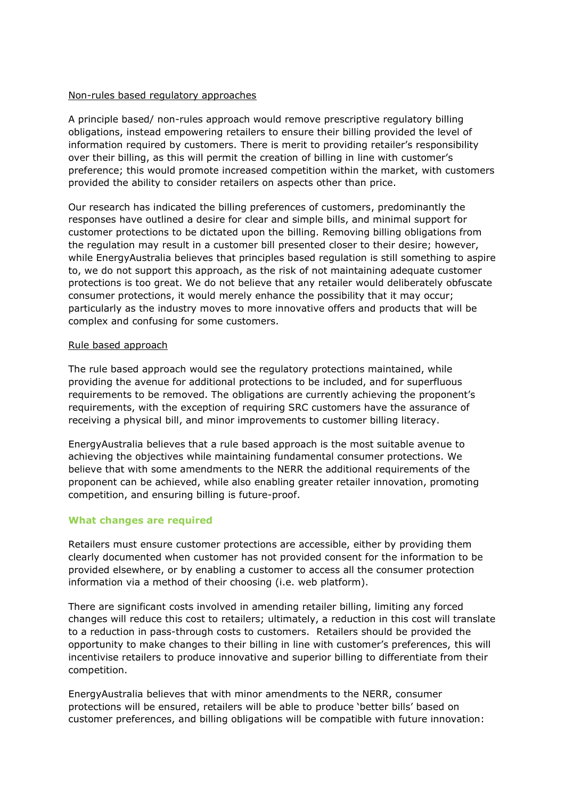### Non-rules based regulatory approaches

A principle based/ non-rules approach would remove prescriptive regulatory billing obligations, instead empowering retailers to ensure their billing provided the level of information required by customers. There is merit to providing retailer's responsibility over their billing, as this will permit the creation of billing in line with customer's preference; this would promote increased competition within the market, with customers provided the ability to consider retailers on aspects other than price.

Our research has indicated the billing preferences of customers, predominantly the responses have outlined a desire for clear and simple bills, and minimal support for customer protections to be dictated upon the billing. Removing billing obligations from the regulation may result in a customer bill presented closer to their desire; however, while EnergyAustralia believes that principles based regulation is still something to aspire to, we do not support this approach, as the risk of not maintaining adequate customer protections is too great. We do not believe that any retailer would deliberately obfuscate consumer protections, it would merely enhance the possibility that it may occur; particularly as the industry moves to more innovative offers and products that will be complex and confusing for some customers.

### Rule based approach

The rule based approach would see the regulatory protections maintained, while providing the avenue for additional protections to be included, and for superfluous requirements to be removed. The obligations are currently achieving the proponent's requirements, with the exception of requiring SRC customers have the assurance of receiving a physical bill, and minor improvements to customer billing literacy.

EnergyAustralia believes that a rule based approach is the most suitable avenue to achieving the objectives while maintaining fundamental consumer protections. We believe that with some amendments to the NERR the additional requirements of the proponent can be achieved, while also enabling greater retailer innovation, promoting competition, and ensuring billing is future-proof.

# **What changes are required**

Retailers must ensure customer protections are accessible, either by providing them clearly documented when customer has not provided consent for the information to be provided elsewhere, or by enabling a customer to access all the consumer protection information via a method of their choosing (i.e. web platform).

There are significant costs involved in amending retailer billing, limiting any forced changes will reduce this cost to retailers; ultimately, a reduction in this cost will translate to a reduction in pass-through costs to customers. Retailers should be provided the opportunity to make changes to their billing in line with customer's preferences, this will incentivise retailers to produce innovative and superior billing to differentiate from their competition.

EnergyAustralia believes that with minor amendments to the NERR, consumer protections will be ensured, retailers will be able to produce 'better bills' based on customer preferences, and billing obligations will be compatible with future innovation: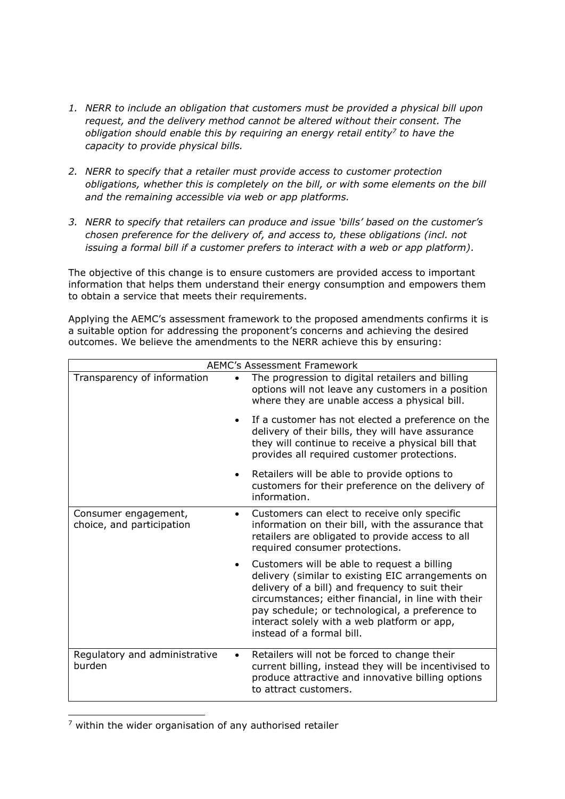- *1. NERR to include an obligation that customers must be provided a physical bill upon request, and the delivery method cannot be altered without their consent. The obligation should enable this by requiring an energy retail entity<sup>7</sup> to have the capacity to provide physical bills.*
- *2. NERR to specify that a retailer must provide access to customer protection obligations, whether this is completely on the bill, or with some elements on the bill and the remaining accessible via web or app platforms.*
- *3. NERR to specify that retailers can produce and issue 'bills' based on the customer's chosen preference for the delivery of, and access to, these obligations (incl. not issuing a formal bill if a customer prefers to interact with a web or app platform).*

The objective of this change is to ensure customers are provided access to important information that helps them understand their energy consumption and empowers them to obtain a service that meets their requirements.

Applying the AEMC's assessment framework to the proposed amendments confirms it is a suitable option for addressing the proponent's concerns and achieving the desired outcomes. We believe the amendments to the NERR achieve this by ensuring:

| <b>AEMC's Assessment Framework</b>                |           |                                                                                                                                                                                                                                                                                                                                           |
|---------------------------------------------------|-----------|-------------------------------------------------------------------------------------------------------------------------------------------------------------------------------------------------------------------------------------------------------------------------------------------------------------------------------------------|
| Transparency of information                       |           | The progression to digital retailers and billing<br>options will not leave any customers in a position<br>where they are unable access a physical bill.                                                                                                                                                                                   |
|                                                   | $\bullet$ | If a customer has not elected a preference on the<br>delivery of their bills, they will have assurance<br>they will continue to receive a physical bill that<br>provides all required customer protections.                                                                                                                               |
|                                                   | $\bullet$ | Retailers will be able to provide options to<br>customers for their preference on the delivery of<br>information.                                                                                                                                                                                                                         |
| Consumer engagement,<br>choice, and participation | $\bullet$ | Customers can elect to receive only specific<br>information on their bill, with the assurance that<br>retailers are obligated to provide access to all<br>required consumer protections.                                                                                                                                                  |
|                                                   | $\bullet$ | Customers will be able to request a billing<br>delivery (similar to existing EIC arrangements on<br>delivery of a bill) and frequency to suit their<br>circumstances; either financial, in line with their<br>pay schedule; or technological, a preference to<br>interact solely with a web platform or app,<br>instead of a formal bill. |
| Regulatory and administrative<br>burden           | $\bullet$ | Retailers will not be forced to change their<br>current billing, instead they will be incentivised to<br>produce attractive and innovative billing options<br>to attract customers.                                                                                                                                                       |

 $7$  within the wider organisation of any authorised retailer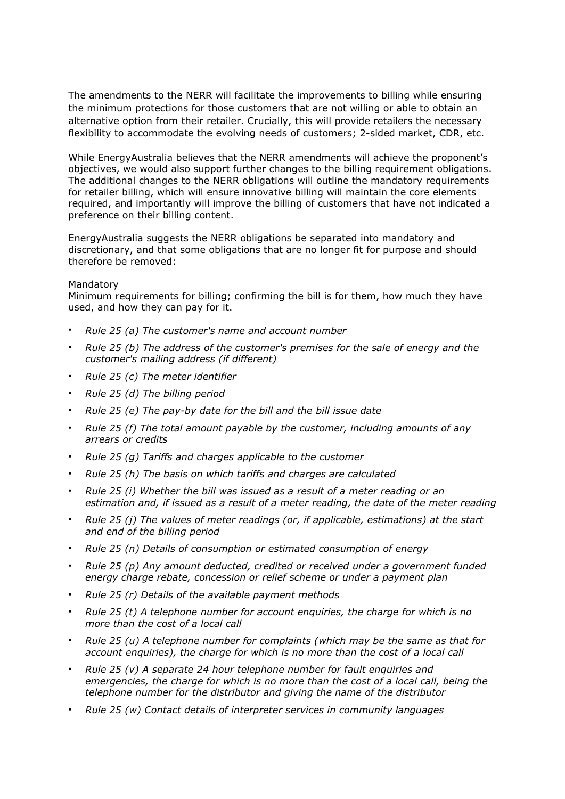The amendments to the NERR will facilitate the improvements to billing while ensuring the minimum protections for those customers that are not willing or able to obtain an alternative option from their retailer. Crucially, this will provide retailers the necessary flexibility to accommodate the evolving needs of customers; 2-sided market, CDR, etc.

While EnergyAustralia believes that the NERR amendments will achieve the proponent's objectives, we would also support further changes to the billing requirement obligations. The additional changes to the NERR obligations will outline the mandatory requirements for retailer billing, which will ensure innovative billing will maintain the core elements required, and importantly will improve the billing of customers that have not indicated a preference on their billing content.

EnergyAustralia suggests the NERR obligations be separated into mandatory and discretionary, and that some obligations that are no longer fit for purpose and should therefore be removed:

#### **Mandatory**

Minimum requirements for billing; confirming the bill is for them, how much they have used, and how they can pay for it.

- *Rule 25 (a) The customer's name and account number*
- *Rule 25 (b) The address of the customer's premises for the sale of energy and the customer's mailing address (if different)*
- *Rule 25 (c) The meter identifier*
- *Rule 25 (d) The billing period*
- *Rule 25 (e) The pay-by date for the bill and the bill issue date*
- *Rule 25 (f) The total amount payable by the customer, including amounts of any arrears or credits*
- *Rule 25 (g) Tariffs and charges applicable to the customer*
- *Rule 25 (h) The basis on which tariffs and charges are calculated*
- *Rule 25 (i) Whether the bill was issued as a result of a meter reading or an estimation and, if issued as a result of a meter reading, the date of the meter reading*
- *Rule 25 (j) The values of meter readings (or, if applicable, estimations) at the start and end of the billing period*
- *Rule 25 (n) Details of consumption or estimated consumption of energy*
- *Rule 25 (p) Any amount deducted, credited or received under a government funded energy charge rebate, concession or relief scheme or under a payment plan*
- *Rule 25 (r) Details of the available payment methods*
- *Rule 25 (t) A telephone number for account enquiries, the charge for which is no more than the cost of a local call*
- *Rule 25 (u) A telephone number for complaints (which may be the same as that for account enquiries), the charge for which is no more than the cost of a local call*
- *Rule 25 (v) A separate 24 hour telephone number for fault enquiries and emergencies, the charge for which is no more than the cost of a local call, being the telephone number for the distributor and giving the name of the distributor*
- *Rule 25 (w) Contact details of interpreter services in community languages*